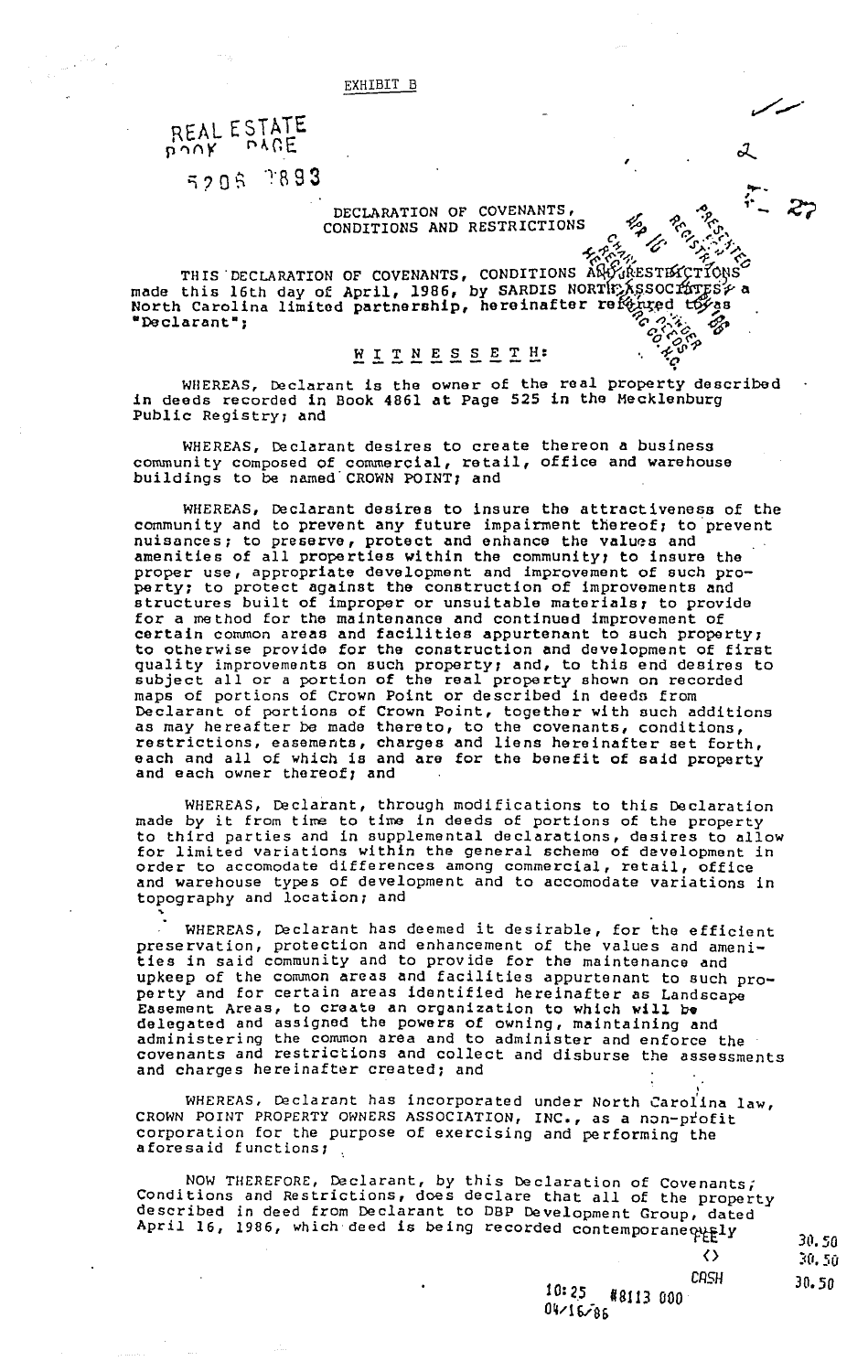### REAL ESTATE bouk pref

~

5206 7893

#### DECLARATION OF COVENANTS, CONDITIONS AND RESTRICTIONS

,

 $\sigma$  c. c.

, ,. -

THIS DECLARATION OF COVENANTS, CONDITIONS ARD ESTISS THATIONS THIS DECLARATION OF COVENANTS, CONDITIONS AWY (RESTIX CTIONS)<br>made this 16th day of April, 1986, by SARDIS NORTHARSSOCITY is North Carolina limited partnership, hereinafter referred to as "Declarant";  $\mathscr{P}_{\mathcal{C}}$   $\mathscr{P}_{\mathcal{C}}$ ,  $\mathscr{P}_{\mathcal{C}}$ 

# **WITNESSETH:**<br>  $\begin{array}{ccc}\n\ddots & \ddots & \ddots & \ddots \\
\vdots & \ddots & \ddots & \ddots & \vdots \\
\vdots & \ddots & \ddots & \ddots & \vdots \\
\vdots & \ddots & \ddots & \ddots & \vdots \\
\end{array}$

WHEREAS, Declarant is the owner of the real property described in deeds recorded in Book 4861 at Page 525 in the Mecklenburg Public Registry; and

WHEREAS, Declarant desires to create thereon a business community composed of commercial, retail, office and warehouse buildings to be named CROWN POINT; and

WHEREAS, Declarant desires to insure the attractiveness of the community and to prevent any future impairment thereof; to prevent nuisances; to preserve, protect and enhance the values and amenities of all properties within the communityr to insure the proper use, appropriate development and improvement of such property; to protect against the construction of improvements and structures built of improper or unsuitable materials; to provide for a method for the maintenance and continued improvement of certain common areas and facilities appurtenant to such property; to otherwise provide for the construction and development of first quality improvements on such propertyr and, to this end desires to subject all or a portion of the real property shown on recorded maps of portions of Crown Point or described in deeds from Declarant of portions of Crown Point, together with such additions as may hereafter be made thereto, to the covenants, conditions, restrictions, easements, charges and liens hereinafter set forth, each and all of which is and are for the benefit of said property and each owner thereof; and

WHEREAS, Declarant, through modifications to this Declaration made by it from time to time in deeds of portions of the property to third parties and in supplemental declarations, desires to allow for limited variations within the general scheme of development in order to accomodate differences among commercial, retail, office and warehouse types of development and to accomodate variations in topography and location; and

WHEREAS, Declarant has deemed it desirable, for the efficient preservation, protection and enhancement of the values and amenipreservation, procedured and changement of the values and and upkeep of the common areas and facilities appurtenant to such property and for certain areas identified hereinafter as Landscape Easement Areas, to create an organization to which will be delegated and assigned the powers of owning, maintaining and administering the common area and to administer and enforce the covenants and restrictions and collect and disburse the assessments and charges hereinafter created; and

wHEREAS, Declarant has incorporated under North Carolina law, CROWN POINT PROPERTY OWNERS ASSOCIATION, INC., as a non-ptofit corporation for the purpose of exercising and performing the aforesaid functions;

NOW THEREFORE, Declarant, by this Declaration of Covenants; Conditions and Restrictions, does declare that all of the property described in deed from Declarant to DBP Development Group, dated April 16, 1986, which deed is being recorded contemporane out

30.50 30. 50

<>

30.50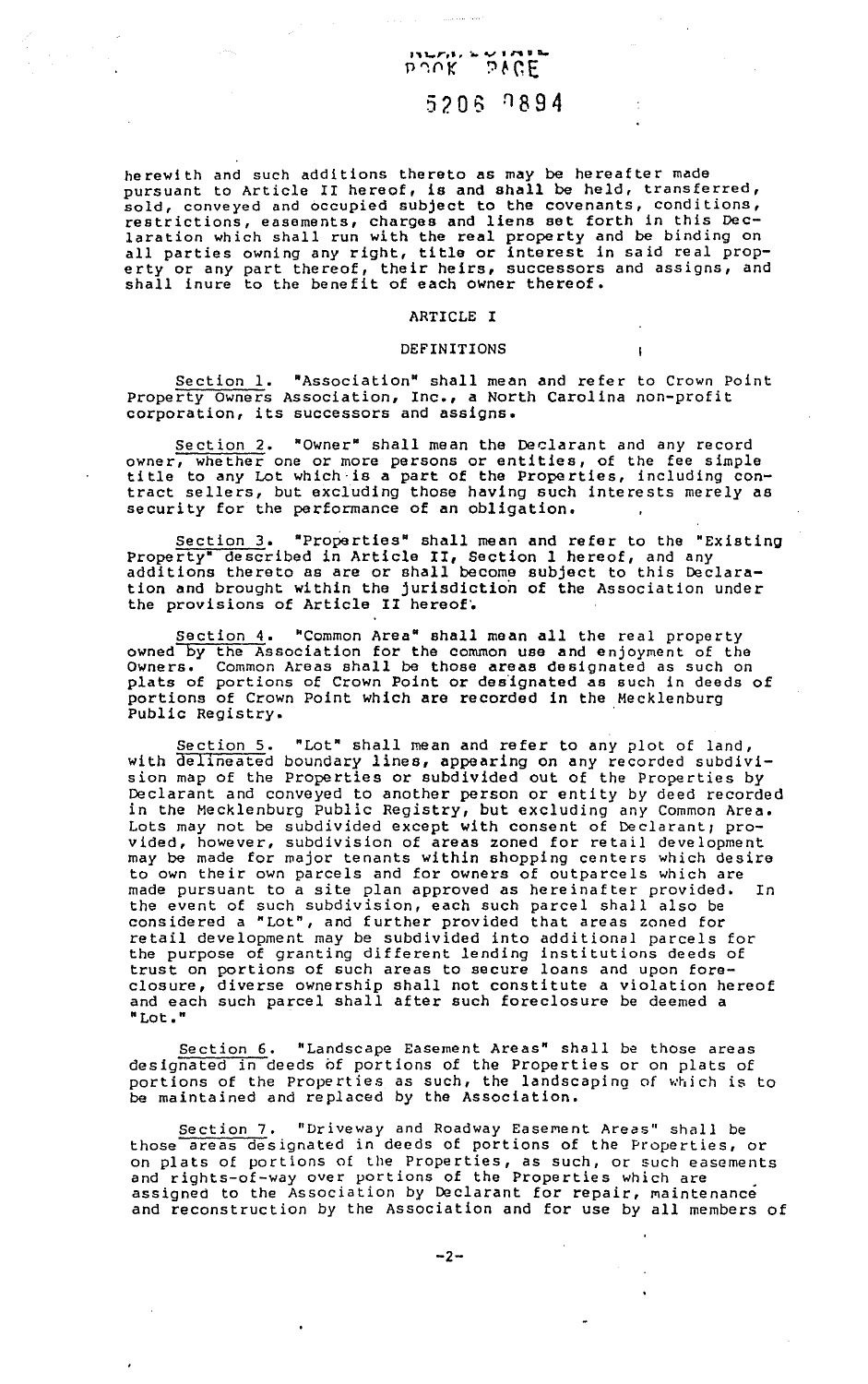### **'''-r,t. a.VIM V** '  $f'$  and  $f$  is the set of  $f$  is the set of  $f$  if  $f$ 5206 7894

herewith and such additions thereto as may be hereafter made pursuant to Article II hereof, is and shall be held, transferred, sold, conveyed and occupied subject to the covenants, conditions, restrictions, easements, charges and liens set forth in this Declaration which shall run with the real property and be binding on all parties owning any right, title or interest in said real property or any part thereof, their heirs, successors and assigns, and shall inure to the benefit of each owner thereof.

#### ARTICLE I

#### DEFINITIONS

 $\mathbf{r}$ 

Section l. "Association" shall mean and refer to Crown Point Property Owners Association, Inc., a North Carolina non-profit Property Owners Association, Inc., a Nor.<br>corporation, its successors and assigns.

Section 2. \*Owner\* shall mean the Declarant and any record owner, whether one or more persons or entities, of the fee simple title to any Lot which·is a part of the Properties, including contract sellers, but excluding those having such interests merely as security for the performance of an obligation.

Section 3. "Properties" shall mean and refer to the "Existing Property" described in Article II, Section 1 hereof, and any additions thereto as are or shall become subject to this Declaration and brought within the jurisdiction of the Association under the provisions of Article II hereof.

Section 4. "Common Area" shall mean all the real property owned by the Association for the common use and enjoyment of the Owners. Common Areas shall be those areas designated as such on plats of portions of Crown Point or designated as such in deeds of portions of Crown Point which are recorded in the Mecklenburg Public Registry.

Section 5. "Lot" shall mean and refer to any plot of land, with delineated boundary lines, appearing on any recorded subdivision map of the Properties or subdivided out of the Properties by Declarant and conveyed to another person or entity by deed recorded in the Mecklenburg Public Registry, but excluding any Common Area. Lots may not be subdivided except with consent of Declarant; provided, however, subdivision of areas zoned for retail development may be made for major tenants within shopping centers which desire to own their own parcels and for owners of outparcels which are made pursuant to a site plan approved as hereinafter provided. In the event of such subdivision, each such parcel shall also be considered a "Lot", and further provided that areas zoned for retail development may be subdivided into additional parcels for the purpose of granting different lending institutions deeds of trust on portions of such areas to secure loans and upon foreclosure, diverse ownership shall not constitute a violation hereof and each such parcel shall after such foreclosure be deemed a "Lot."

Section 6. "Landscape Easement Areas" shall be those areas designated in deeds of portions of the Properties or on plats of portions of the Properties as such, the landscaping of which is to be maintained and replaced by the Association.

Section 7. "Driveway and Roadway Easement Areas" shall be those areas designated in deeds of portions of the Properties, or on plats of portions of the Properties, as such, or such easements and rights-of-way over portions of the Properties which are assigned to the Association by Declarant for repair, maintenance and reconstruction by the Association and for use by all members of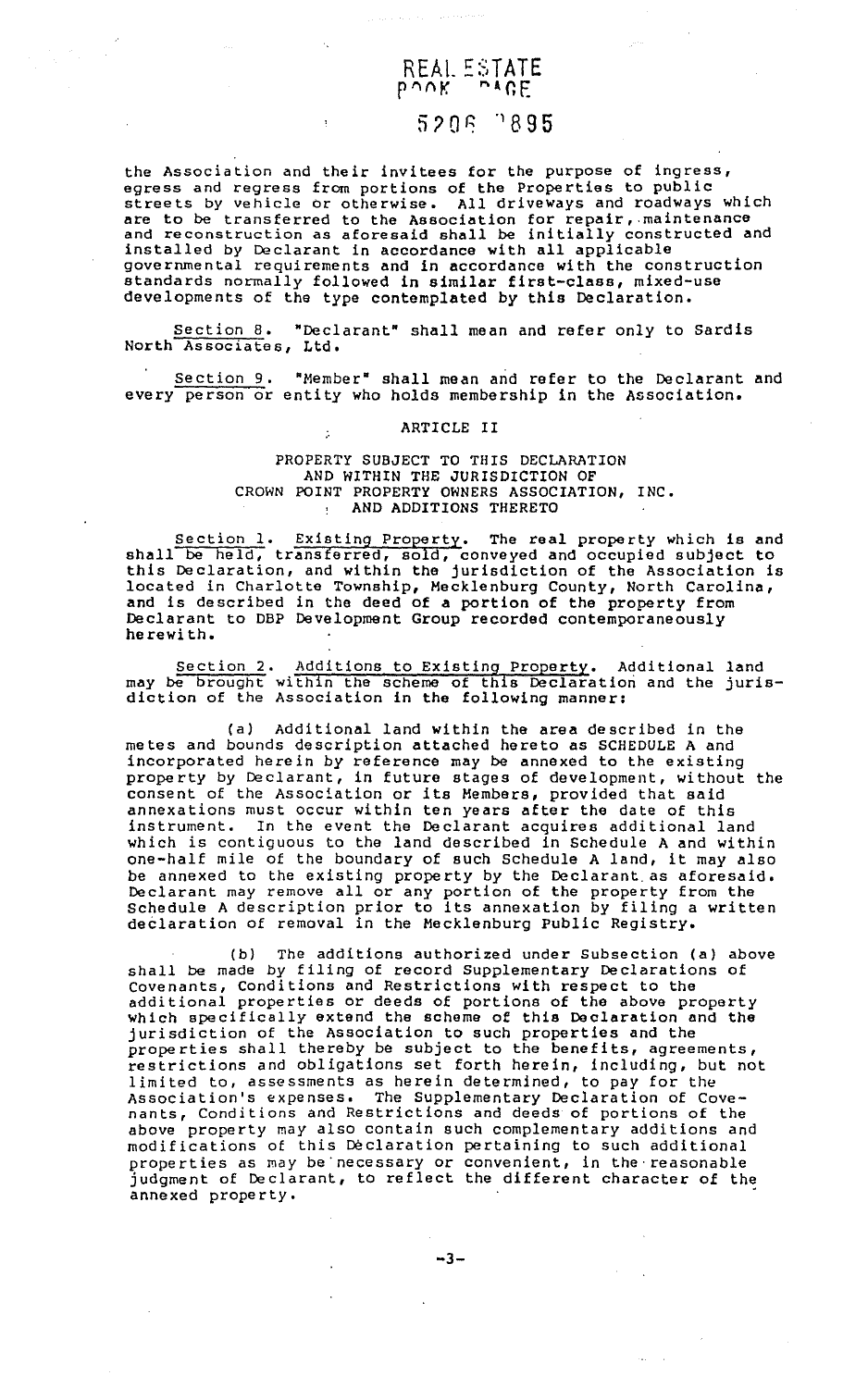## REAL ESTATE 5206 3895

the Association and their invitees for the purpose of ingress, egress and regress from portions of the Properties to public streets by vehicle or otherwise. All driveways and roadways which are to be transferred to the Association for repair, maintenance and reconstruction as aforesaid shall be initially constructed and installed by Declarant in accordance with all applicable governmental requirements and in accordance with the construction standards normally followed in similar first-class, mixed-use developments of the type contemplated by this Declaration.

Section 8. "Declarant• shall mean and refer only to Sardis Section 8. "Decl<br>North Associates, Ltd.

Section 9. "Member" shall mean and refer to the Declarant and every person or entity who holds membership in the Association.

#### ARTICLE II

#### PROPERTY SUBJECT TO THIS DECLARATION AND WITHIN THE JURISDICTION OF CROWN POINT PROPERTY OWNERS ASSOCIATION, INC. AND ADDITIONS THERETO

Section 1. Existing Property. The real property which is and shall be held, transferred, sold, conveyed and occupied subject to this Declaration, and within the jurisdiction of the Association is located in Charlotte Township, Mecklenburg County, North Carolina, and is described in the deed of a portion of the property from Declarant to DBP Development Group recorded contemporaneously herewith.

Section 2. Additions to Existing Property. Additional land may be brought within the scheme of this Declaration and the jurisdiction of the Association in the following manner:

(a) Additional land within the area described in the metes and bounds description attached hereto as SCHEDULE A and incorporated herein by reference may be annexed to the existing property by Declarant, in future stages of development, without the property by bectarant, in future stages of development, without annexations must occur within ten years after the date of this instrument. In the event the Declarant acquires additional land which is contiguous to the land described in Schedule A and within one-half mile of the boundary of such Schedule A land, it may also be annexed to the existing property by the Declarant as aforesaid. Declarant may remove all or any portion of the property from the Schedule A description prior to its annexation by filing a written declaration of removal in the Mecklenburg Public Registry.

(b) The additions authorized under Subsection (a) above shall be made by filing of record Supplementary Declarations of Covenants, Conditions and Restrictions with respect to the additional properties or deeds of portions of the above property which specifically extend the scheme of this Declaration and the jurisdiction of the Association to such properties and the properties shall thereby be subject to the benefits, agreements, properties share increase see subject to the sending agreements, limited to, assessments as herein determined, to pay for the<br>Association's expenses. The Supplementary Declaration of Co The Supplementary Declaration of Covenants, Conditions and Restrictions and deeds of portions of the above property may also contain such complementary additions and modifications of this Declaration pertaining to such additional properties as may be necessary or convenient, in the reasonable judgment of Declarant, to reflect the different character of the annexed property.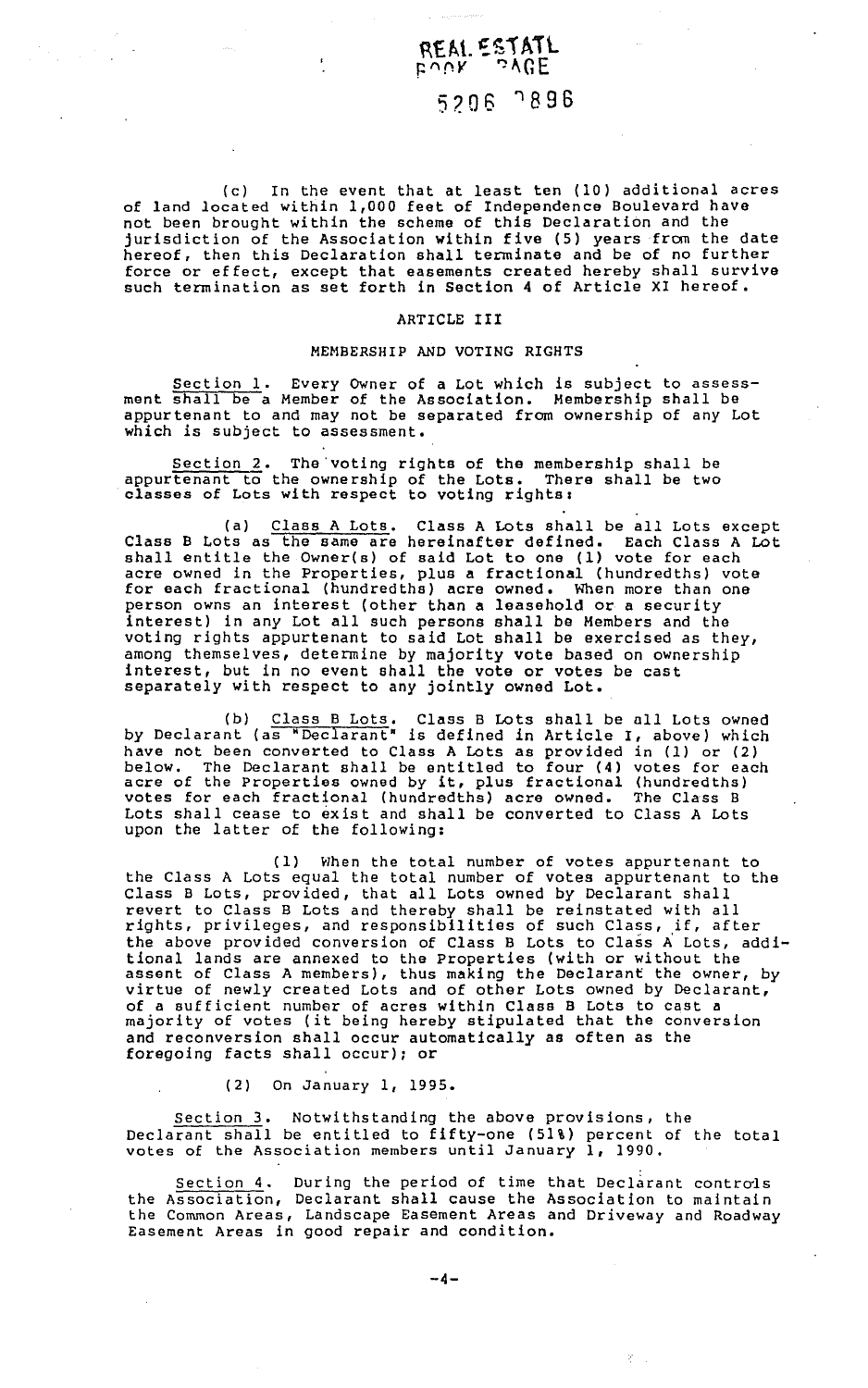### ~t:fl.L ~~1 **All**  $\tt{F}$ uük  $\tt{a}$ VGE

### 5?.06 '1896

(c) In the event that at least ten (10) additional acres of land located within 1,000 feet of Independence Boulevard have not been brought within the scheme of this Declaration and the jurisdiction of the Association within five (5) years from the date hereof, then this Declaration shall terminate and be of no further force or effect, except that easements created hereby shall survive such termination as set forth in Section 4 of Article XI hereof.

#### ARTICLE III

#### MEMBERSHIP AND VOTING RIGHTS

Section 1. Every Owner of a Lot which is subject to assessment shall be a Member of the Association. Membership shall be appurtenant to and may not be separated from ownership of any Lot which is subject to assessment.

Section 2. The'voting rights of the membership shall be appurtenant to the ownership of the Lots. There shall be two apper comment to the officiality of the bods: Then

(a) Class A Lots. Class A Lots shall be all Lots except Class B Lots as the same are hereinafter defined. Each Class A Lot shall entitle the Owner(s) of said Lot to one (1) vote for each acre owned in the Properties, plus a fractional (hundredths) vote for each fractional (hundredths) acre owned. When more than one person owns an interest (other than a leasehold or a security interest) in any Lot all such persons shall be Members and the voting rights appurtenant to said Lot shall be exercised as they, among themselves, determine by majority vote based on ownership interest, but in no event shall the vote or votes be cast separately with respect to any jointly owned Lot.

(b) Class B Lots. Class B Lots shall be all Lots owned by Declarant (as "Declarant" is defined in Article I, above) which have not been converted to Class A Lots as provided in (1) or (2) below. The Declarant shall be entitled to four (4) votes for each acre of the Properties owned by it, plus fractional (hundredths) votes for each fractional (hundredths) acre owned. The Class B Lots shall cease to exist and shall be converted to Class A Lots upon the latter of the following:

(1) When the total number of votes appurtenant to the Class A Lots equal the total number of votes appurtenant to the Class B Lots, provided, that all Lots owned by Declarant shall revert to Class B Lots and thereby shall be reinstated with all rights, privileges, and responsibilities of such Class, if, after the above provided conversion of Class B Lots to Class A Lots, additional lands are annexed to the Properties (with or without the assent of Class A members), thus making the Declarant the owner, by virtue of newly created Lots and of other Lots owned by Declarant, of a sufficient number of acres within Class B Lots to cast a majority of votes (it being hereby stipulated that the conversion and reconversion shall occur automatically as often as the foregoing facts shall occur); or

(2) On January 1, 1995.

Section 3. Notwithstanding the above provisions, the Declarant shall be entitled to fifty-one (51%) percent of the total votes of the Association members until January 1, 1990,

Section  $4$ . During the period of time that Declarant controls the Association, Declarant shall cause the Association to maintain the Common Areas, Landscape Easement Areas and Driveway and Roadway Easement Areas in good repair and condition.

-4-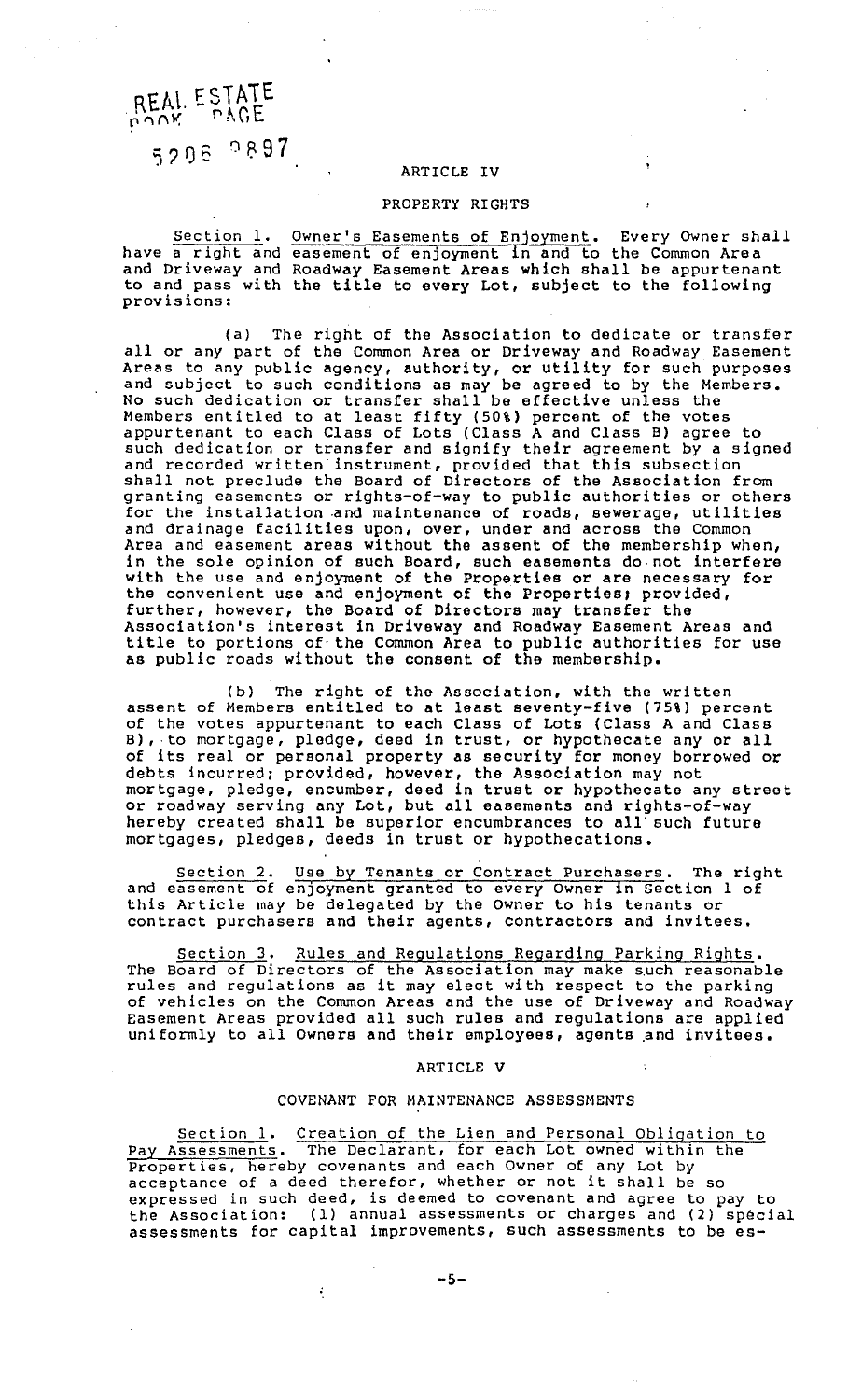#### REAL ESTAiE  $p\sqrt{N}$  ,  $p\sqrt{C}$

5208 0897

#### ARTICLE IV

#### PROPERTY RIGHTS

Section 1. have a right and and Driveway and Roadway Easement Areas which shall be appurtenant and *Briveway* and Roadway Easement Areas which shall be apput tenant provisions: Owner's Easements of Enjoyment. Every owner shall easement of enjoyment in and to the Common Area

(a) The right of the Association to dedicate or transfer all or any part of the Common Area or Driveway and Roadway Easement Areas to any public agency, authority, or utility for such purposes and subject to such conditions as may be agreed to by the Members. No such dedication or transfer shall be effective unless the Members entitled to at least fifty (50%) percent of the votes appurtenant to each Class of Lots (Class A and Class B) agree to such dedication or transfer and signify their agreement by a signed and recorded written instrument, provided that this subsection shall not preclude the Board of Directors of the Association from granting easements or rights-of-way to public authorities or others for the installation and maintenance of roads, sewerage, utilities and drainage facilities upon, over, under and across the Common Area and easement areas without the assent of the membership when, in the sole opinion of such Board, such easements do-not interfere with the use and enjoyment of the Properties or are necessary for the convenient use and enjoyment of the Properties; provided, further, however, the Board of Directors may transfer the Association's interest in Driveway and Roadway Easement Areas and title to portions of· the Common Area to public authorities for use as public roads without the consent of the membership.

(b) The right of the Association, with the written assent of Members entitled to at least seventy-five (75%) percent of the votes appurtenant to each Class of Lots (Class A and Class B), to mortgage, pledge, deed in trust, or hypothecate any or all of its real or personal property as security for money borrowed or debts incurred; provided, however, the Association may not mortgage, pledge, encumber, deed in trust or hypothecate any street or roadway serving any Lot, but all easements and rights-of-way hereby created shall be superior encumbrances to a11· such future mortgages, pledges, deeds in trust or hypothecations.

Section 2. Use by Tenants or Contract Purchasers. The right and easement of enjoyment granted to every Owner in Section 1 of this Article may be delegated by the Owner to his tenants or contract purchasers and their agents, contractors and invitees.

Section 3. Rules and Regulations Regarding Parking Rights. The Board of Directors of the Association may make such reasonable<br>rules and regulations as it may elect with respect to the parking of vehicles on the Common Areas and the use of Driveway and Roadway Easement Areas provided all such rules and regulations are applied uniformly to all Owners and their employees, agents and invitees.

#### ARTICLE V

#### COVENANT FOR MAINTENANCE ASSESSMENTS

Section 1. Creation of the Lien and Personal Obligation to Pay Assessments. The Declarant, for each Lot owned within the Properties, hereby covenants and each Owner of any Lot by Properties, nereby covenants and each owner or any Lot by<br>acceptance of a deed therefor, whether or not it shall be so expressed in such deed, is deemed to covenant and agree to pay to the Association: (1) annual assessments or charges and (2) special assessments for capital improvements, such assessments to be es-

÷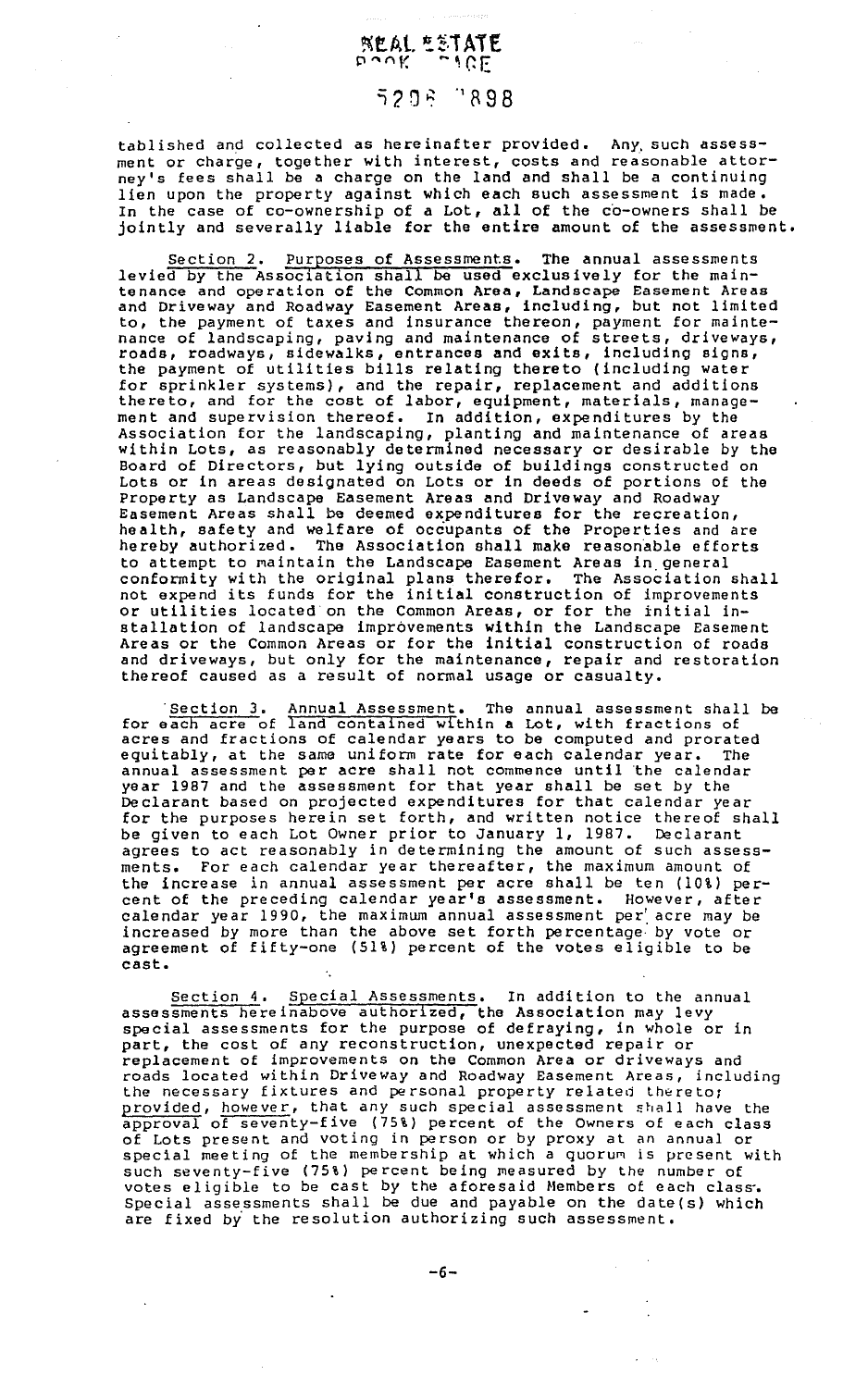#### ~t.At. i:.~.i **ATE**  P"flV. ~~GE

### ~?. 0 ~ 'IR 9 8

tablished and collected as hereinafter provided. Any such assessment or charge, together with interest, costs and reasonable attorney's fees shall be a charge on the land and shall be a continuing lien upon the property against which each such assessment is made. In the case of co-ownership of a Lot, all of the co-owners shall be jointly and severally liable for the entire amount of the assessment.

Section 2. Purposes of Assessments. The annual assessments levied by the Association shall be used exclusively for the maintenance and operation of the Common Area, Landscape Easement Areas and Driveway and Roadway Easement Areas, including, but not limited to, the payment of taxes and insurance thereon, payment for maintenance of landscaping, paving and maintenance of streets, driveways, roads, roadways, sidewalks, entrances and exits, including signs, the payment of utilities bills relating thereto (including water for sprinkler systems), and the repair, replacement and additions thereto, and for the cost of labor, equipment, materials, management and supervision thereof. In addition, expenditures by the Association for the landscaping, planting and maintenance of areas within Lots, as reasonably determined necessary or desirable by the Board of Directors, but lying outside of buildings constructed on Lots or in areas designated on Lots or in deeds of portions of the Property as Landscape Easement Areas and Driveway and Roadway Easement Areas shall be deemed expenditures for the recreation, health, safety and welfare of occupants of the Properties and are hereby authorized. The Association shall make reasonable efforts to attempt to maintain the Landscape Easement Areas in general conformity with the original plans therefor. The Association shall not expend its funds for the initial construction of improvements or utilities located on the Common Areas, or for the initial installation of landscape improvements within the Landscape Easement Areas or the Common Areas or for the initial construction of roads and driveways, but only for the maintenance, repair and restoration thereof caused as a result of normal usage or casualty.

Section 3. Annual Assessment. The annual assessment shall be for each acre of land contained within a Lot, with fractions of acres and fractions of calendar years to be computed and prorated equitably, at the same uniform rate for each calendar year. The annual assessment per acre shall not commence until the calendar year 1987 and the assessment for that year shall be set by the Declarant based on projected expenditures for that calendar year for the purposes herein set forth, and written notice thereof shall be given to each Lot Owner prior to January 1, 1987. Declarant agrees to act reasonably in determining the amount of such assessments. For each calendar year thereafter, the maximum amount of the increase in annual assessment per acre shall be ten (10%) percent of the preceding calendar year's assessment. However, after calendar year 1990, the maximum annual assessment per acre may be increased by more than the above set forth percentage· by vote or agreement of fifty-one (51%) percent of the votes eligible to be cast.

Section 4. Special Assessments. In addition to the annual assessments hereinabove authorized, the Association may levy special assessments for the purpose of defraying, in whole or in part, the cost of any reconstruction, unexpected repair or replacement of improvements on the Common Area or driveways and roads located within Driveway and Roadway Easement Areas, including the necessary fixtures and personal property related thereto; provided, however, that any such special assessment shall have the approval of seventy-five (75%) percent of the Owners of each class of Lots present and voting in person or by proxy at an annual or special meeting of the membership at which a quorum is present with such seventy-five (75%) percent being measured by the number of votes eligible to be cast by the aforesaid Members of each class. Special assessments shall be due and payable on the date(s) which are fixed by the resolution authorizing such assessment.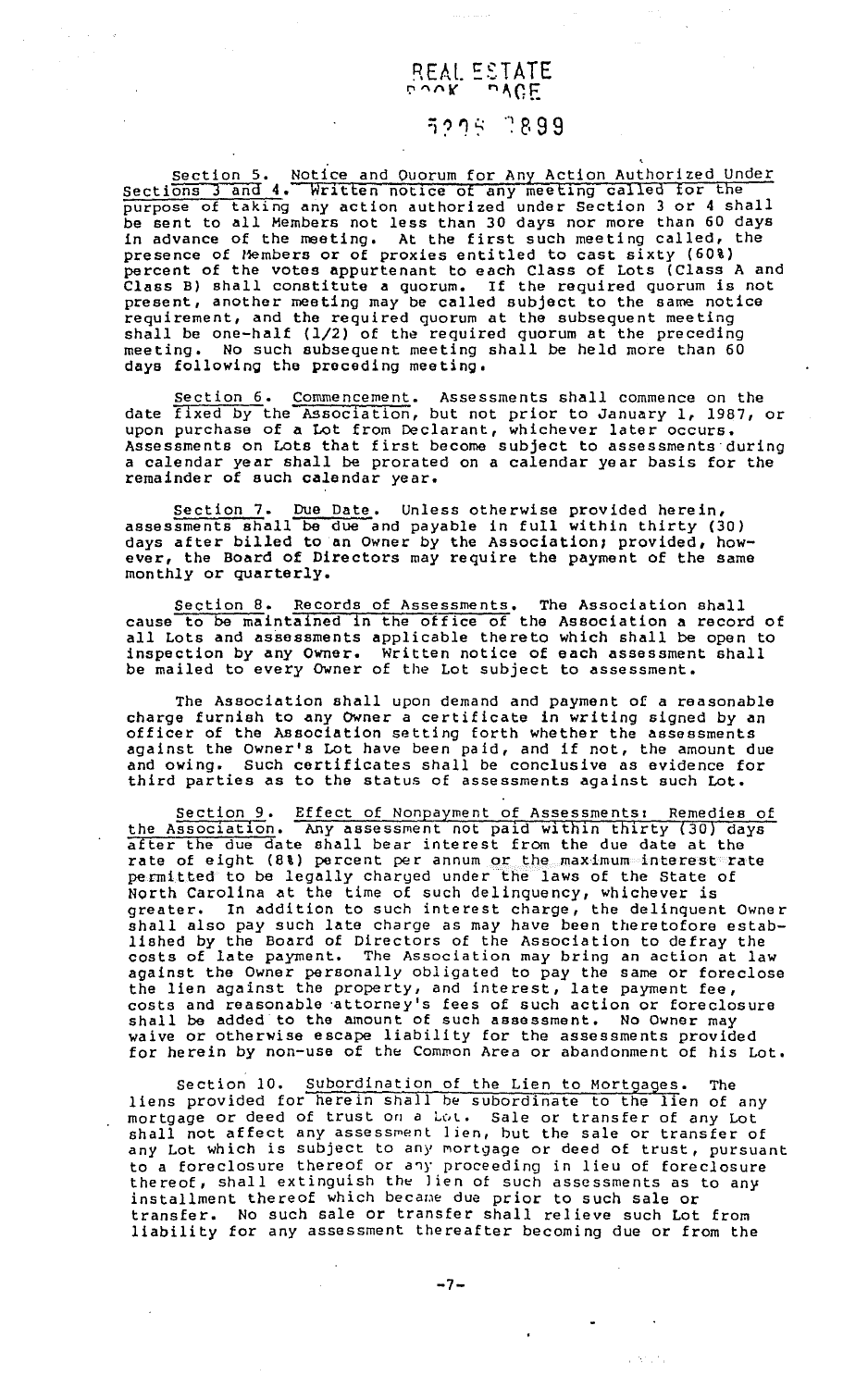### REAL. ESTATE  $\cup \cup K$  ,  $\cup \cup E$

### ~'.'"JS ··~e,99

section 5. Notice and Ouorum for Any Action Authorized Under Sections 3 and 4. Written notice of any meeting called for the purpose of taking any action authorized under Section 3 or 4 shall be sent to all Members not less than JO days nor more than 60 days in advance of the meeting. At the first such meeting called, the presence of Members or of proxies entitled to cast sixty (60%) percent of the votes appurtenant to each Class of Lots (Class A and percent of the votes appureenant to each truss of hots (cruss in any present, another meeting may be called subject to the same notice requirement, and the required quorum at the subsequent meeting shall be one-half (1/2) of the required quorum at the preceding meeting. No such subsequent meeting shall be held more than 60 days following the preceding meeting.

Section 6. Commencement. Assessments shall commence on the date fixed by the Association, but not prior to January 1, 1987, or unce times by the indecident, but her prick to candary if 190 Assessments on Lots that first become subject to assessments during a calendar year shall be prorated on a calendar year basis for the remainder of such calendar year.

Section 7. Due Date. Unless otherwise provided herein, assessments shall be due and payable in full within thirty (30) days after billed to an Owner by the Association; provided, however, the Board of Directors may require the payment of the same monthly or quarterly.

Section 8. Records of Assessments. The Association shall cause to be maintained in the office of the Association a record of all Lots and assessments applicable thereto which shall be open to inspection by any Owner. Written notice of each assessment shall be mailed to every Owner of the Lot subject to assessment.

The Association shall upon demand and payment of a reasonable charge furnish to any owner a certificate in writing signed by an officer of the Association setting forth whether the assessments against the Owner's Lot have been paid, and if not, the amount due and owing. Such certificates shall be conclusive as evidence for third parties as to the status of assessments against such Lot.

Section 9. Effect of Nonpayment of Assessments: Remedies of the Association. Any assessment not paid within thirty (30) days after the due date shall bear interest from the due date at the rate of eight (8%) percent per annum or the maximum interest rate permitted to be legally charged under the laws of the State of North Carolina at the time of such delinquency, whichever is greater. In addition to such interest charge, the delinquent Owner shall also pay such late charge as may have been theretofore established by the Board of Directors of the Association to defray the costs of late payment. The Association may bring an action at law against the Owner personally obligated to pay the same or foreclose against the owner personarry correlated to pay the same of foreward. costs and reasonable ·attorney's fees of such action or foreclosure shall be added to the amount of such assessment. No Owner may shall be added to the amount of such assessment. No owner may<br>waive or otherwise escape liability for the assessments provided for herein by non-use of the Common Area or abandonment of his Lot.

section 10. Subordination of the Lien to Mortgages. The liens provided for herein shall be subordinate to the lien of any mortgage or deed of trust on a Lot. Sale or transfer of any Lot shall not affect any assessment lien, but the sale or transfer of any Lot which is subject to any mortgage or deed of trust, pursuant to a foreclosure thereof or any proceeding in lieu of foreclosure thereof, shall extinguish the lien of such assessments as to any installment thereof which became due prior to such sale or transfer. No such sale or transfer shall relieve such Lot from liability for any assessment thereafter becoming due or from the

-7-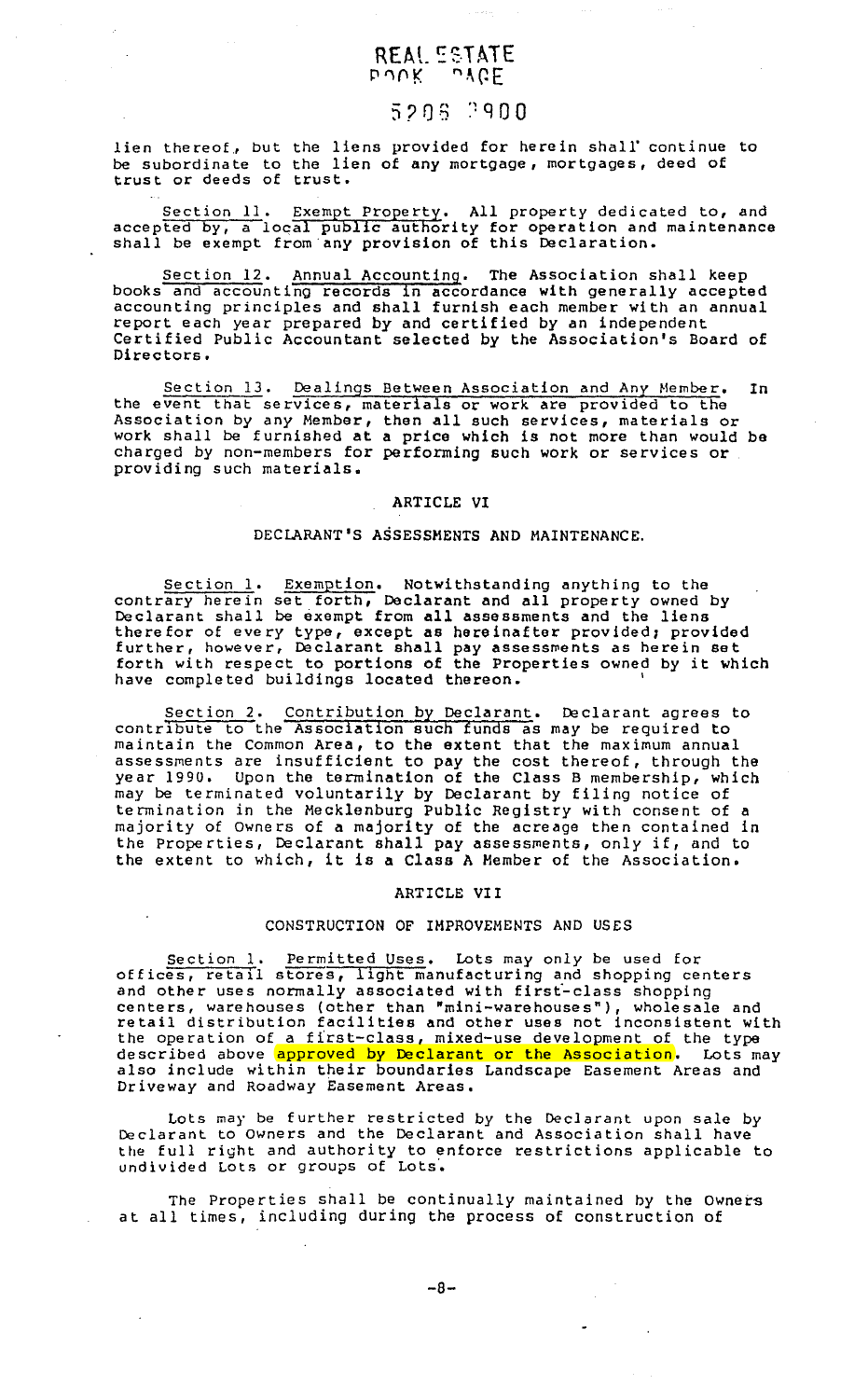#### REAL ESTATE  $b\cup K$   $\cup$   $\forall$   $b\in$

### 5206 2900

lien thereof, but the liens provided for herein shall continue to be subordinate to the lien of any mortgage, mortgages, deed of be subditurate to the fit

Section 11. Exempt Property. All property dedicated to, and accepted by, a local public authority for operation and maintenance shall be exempt from any provision of this Declaration.

Section 12. Annual Accounting. The Association shall keep books and accounting records in accordance with generally accepted accounting principles and shall furnish each member with an annual report each year prepared by and certified by an independent Certified Public Accountant selected by the Association's Board of Directors.

Section 13. Dealings Between Association and Any Member. In the event that services, materials or work are provided to the Association by any Member, then all such services, materials or work shall be furnished at a price which is not more than would be charged by non-members for performing such work or services or providing such materials.

#### ARTICLE VI

#### DECLARANT'S ASSESSMENTS AND MAINTENANCE.

Section 1. Exemption. Notwithstanding anything to the contrary herein set forth, Declarant and all property owned by Declarant shall be exempt from all assessments and the liens therefor of every type, except as hereinafter provided; provided further, however, Declarant shall pay assessments as herein set forth with respect to portions of the Properties owned by it which<br>forth with respect to portions of the Properties owned by it which have completed buildings located thereon.

Section 2. Contribution by Declarant. Declarant agrees to contribute to the Association such funds as may be required to maintain the Common Area, to the extent that the maximum annual assessments are insufficient to pay the cost thereof, through the year 1990. Upon the termination of the Class B membership, which may be terminated voluntarily by Declarant by filing notice of termination in the Mecklenburg Public Registry with consent of a majority of Owners of a majority of the acreage then contained in the Properties, Declarant shall pay assessments, only if, and to the extent to which, it is a Class A Member of the Association.

#### ARTICLE VII

#### CONSTRUCTION OF IMPROVEMENTS AND USES

Section 1. Permitted Uses. Lots may only be used for offices, retail stores, light manufacturing and shopping centers and other uses normally associated with firsf-class shopping centers, warehouses (other than "mini-warehouses"), wholesale and retail distribution facilities and other uses not inconsistent with the operation of a fi'rst-class, mixed-use development of the type described above approved by Declarant or the Association. Lots may also include within their boundaries Landscape Easement Areas and Driveway and Roadway Easement Areas.

Lots may be further restricted by the Declarant upon sale by Declarant to Owners and the Declarant and Association shall have the full right and authority to enforce restrictions applicable to undivided Lots or groups of Lots.

The Properties shall be continually maintained by the Owners at all times, including during the process of construction of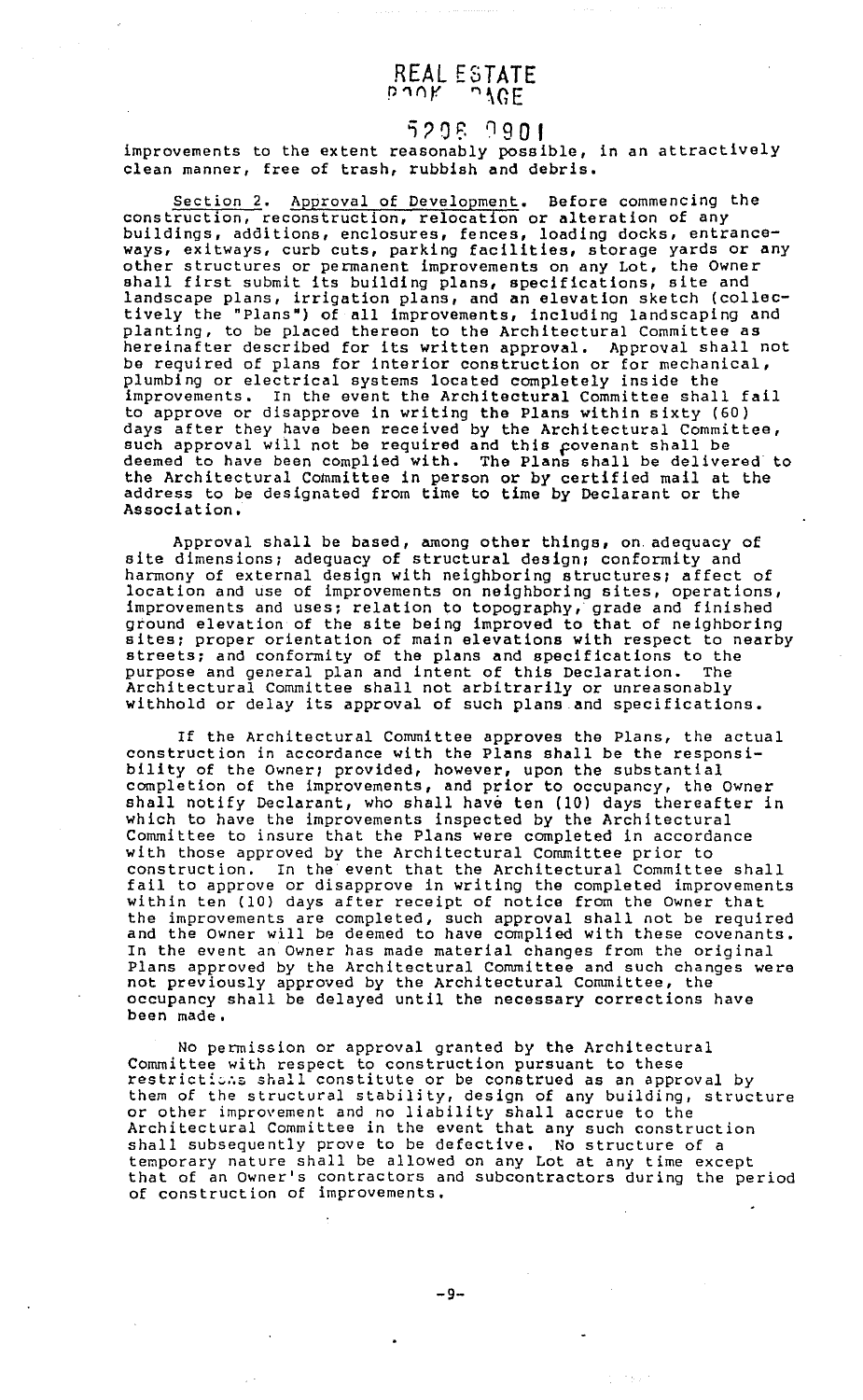#### REAL ESTATE r-~ny. ~~GE

 $-5295$   $-9901$ <br>improvements to the extent reasonably possible, in an attractively clean manner, free of trash, rubbish and debris.

Section 2. Approval of Development. Before commencing the construction, reconstruction, relocation or alteration of any buildings, additions, enclosures, fences, loading docks, entranceways, exitways, curb cuts, parking facilities, storage yards or any other structures or permanent improvements on any Lot, the Owner structures of permanent improvements on any not, the owner landscape plans, irrigation plans, and an elevation sketch (collectively the "Plans") of all improvements, including landscaping and planting, to be placed thereon to the Architectural Committee as hereinafter described for its written approval. Approval shall not be required of plans for interior construction or for mechanical, plumbing or electrical systems located completely inside the improvements. In the event the Architectural Committee shall fail to approve or disapprove in writing the Plans within sixty (60) days after they have been received by the Architectural Committee, sure are they have been received by the intentedential commitdeemed to have been complied with. The Plans shall be delivered to the Architectural Committee in person or by certified mail at the address to be designated from time to time by Declarant or the Association,

Approval shall be based, among other things, on adequacy of site dimensions; adequacy of structural design; conformity and bitto dimensions, daughauf or cardonical design, conforming and location and use of improvements on neighboring sites, operations, improvements and uses; relation to topography, grade and finished ground elevation of the site being improved to that of neighboring sites; proper orientation of main elevations with respect to nearby streets; and conformity of the plans and specifications to the purpose and general plan and intent of this Declaration. The purpose and general plan and intent of this Declaration. Architectural Committee shall not arbitrarily or unreasonably withhold or delay its approval of such plans and specifications.

If the Architectural Committee approves the Plans, the actual construction in accordance with the Plans shall be the responsibility of the Owner; provided, however, upon the substantial completion of the improvements, and prior to occupancy, the Owner shall notify Declarant, who shall have ten (10) days thereafter in which to have the improvements inspected by the Architectural Committee to insure that the Plans were completed in accordance with those approved by the Architectural Committee prior to construction. In the event that the Architectural Committee shall fail to approve or disapprove in writing the completed improvements within ten (10) days after receipt of notice from the Owner that the improvements are completed, such approval shall not be required and the Owner will be deemed to have complied with these covenants. In the event an Owner has made material changes from the original Plans approved by the Architectural Committee and such changes were not previously approved by the Architectural Committee, the occupancy shall be delayed until the necessary corrections have been made.

No permission or approval granted by the Architectural Committee with respect to construction pursuant to these restrictions shall constitute or be construed as an approval by them of the structural stability, design of any building, structure or other improvement and no liability shall accrue to the Architectural Committee in the event that any such construction shall subsequently prove to be defective, No structure of a temporary nature shall be allowed on any Lot at any time except that of an Owner's contractors and subcontractors during the period of construction of improvements.

1557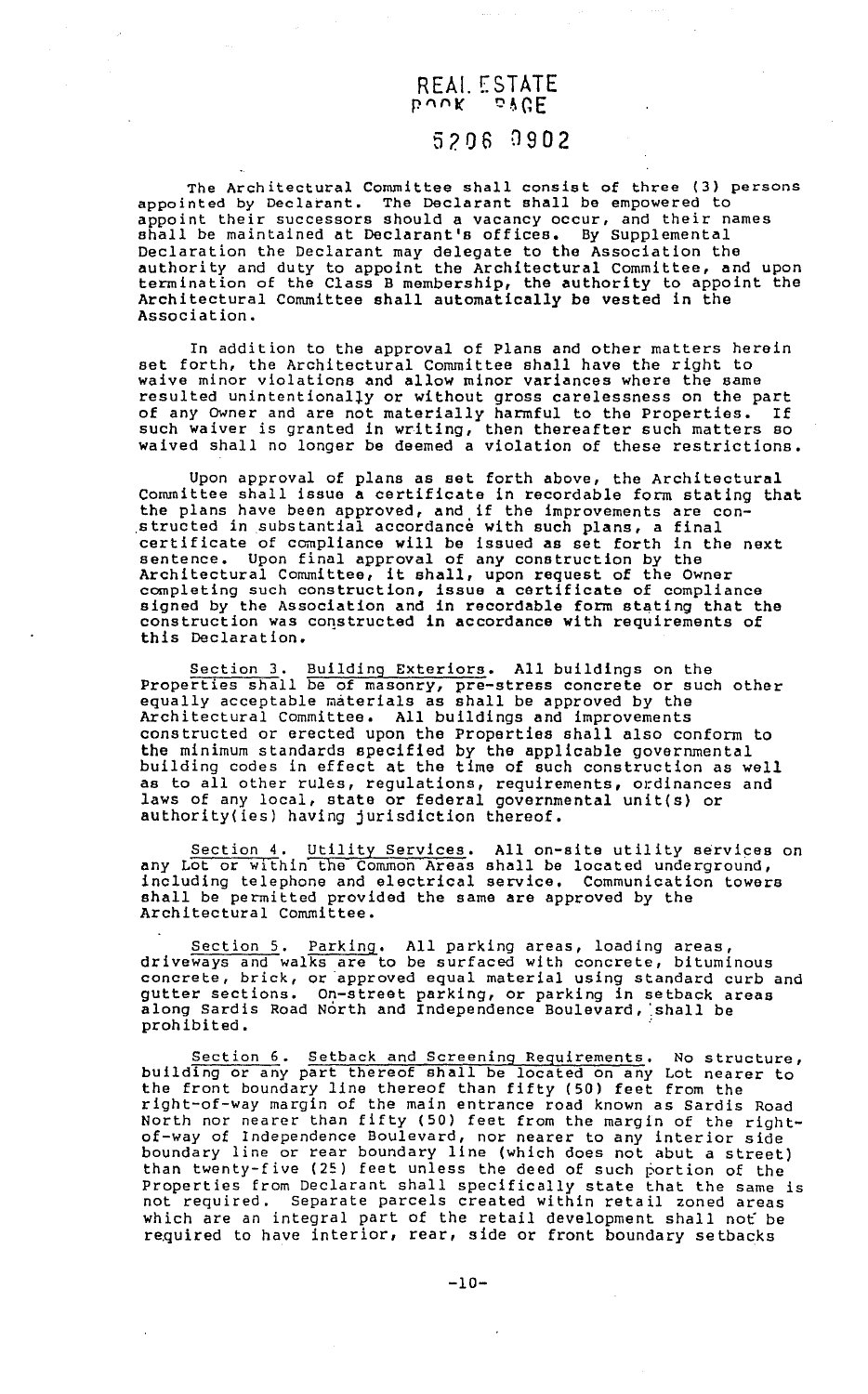### REAI. ESTATE P'VUK DAGE

#### 5206 0902

The Architectural Committee shall consist of three (3) persons appointed by Declarant. The Declarant shall be empowered to appoint their successors should a vacancy occur, and their names shall be maintained at Declarant's offices. By Supplemental Declaration the Declarant may delegate to the Association the authority and duty to appoint the Architectural Committee, and upon termination of the Class B membership, the authority to appoint the Architectural Committee shall automatically be vested in the Association.

In addition to the approval of Plans and other matters herein set forth, the Architectural Committee shall have the right to waive minor violations and allow minor variances where the same resulted unintentionaliy or without gross carelessness on the part of any Owner and are not materially harmful to the Properties. If such waiver is granted in writing, then thereafter such matters so waived shall no longer be deemed a violation of these restrictions.

Upon approval of plans as set forth above, the Architectural Committee shall issue a certificate in recordable form stating that the plans have been approved, and if the improvements are constructed in substantial accordance with such plans, a final certificate of compliance will be issued as set forth in the next sentence. Upon final approval of any construction by the Architectural Committee, it shall, upon request of the Owner completing such construction, issue a certificate of compliance signed by the Association and in recordable form stating that the construction was constructed in accordance with requirements of this Declaration.

Section 3. Building Exteriors. All buildings on the Properties shall be of masonry, pre-stress concrete or such other equally acceptable materials as shall be approved by the Architectural Committee. All buildings and improvements constructed or erected upon the Properties shall also conform to the minimum standards specified by the applicable governmental building codes in effect at the time of such construction as well as to all other rules, regulations, requirements, ordinances and laws of any local, state or federal governmental unit(s) or authority(ies) having jurisdiction thereof.

Section 4. Utility Services. All on-site utility services on any Lot or within the Common Areas shall be located underground, including telephone and electrical service. Communication towers shall be permitted provided the same are approved by the Architectural Committee.

Section 5. Parking. All parking areas, loading areas, driveways and walks are to be surfaced with concrete, bituminous concrete, brick, or approved equal material using standard curb and gutter sections. On-street parking, or parking in setback areas along Sardis Road North and Independence Boulevard, shall be  $\frac{1}{p}$ prohibited.

Section 6. Setback and Screening Requirements. No structure, building or any part thereof shall be located on any Lot nearer to building of any part energor bhair be focated on any bot heard right-of-way margin of the main entrance road known as Sardis Road North nor nearer than fifty (50) feet from the margin of the rightof-way of Independence Boulevard, nor nearer to any interior side boundary line or rear boundary line (which does not abut a street) than twenty-five (25) feet unless the deed of such portion of the Properties from Declarant shall specifically state that the same is not required. Separate parcels created within retail zoned areas which are an integral part of the retail development shall not be re.quired to have interior, rear, side or front boundary setbacks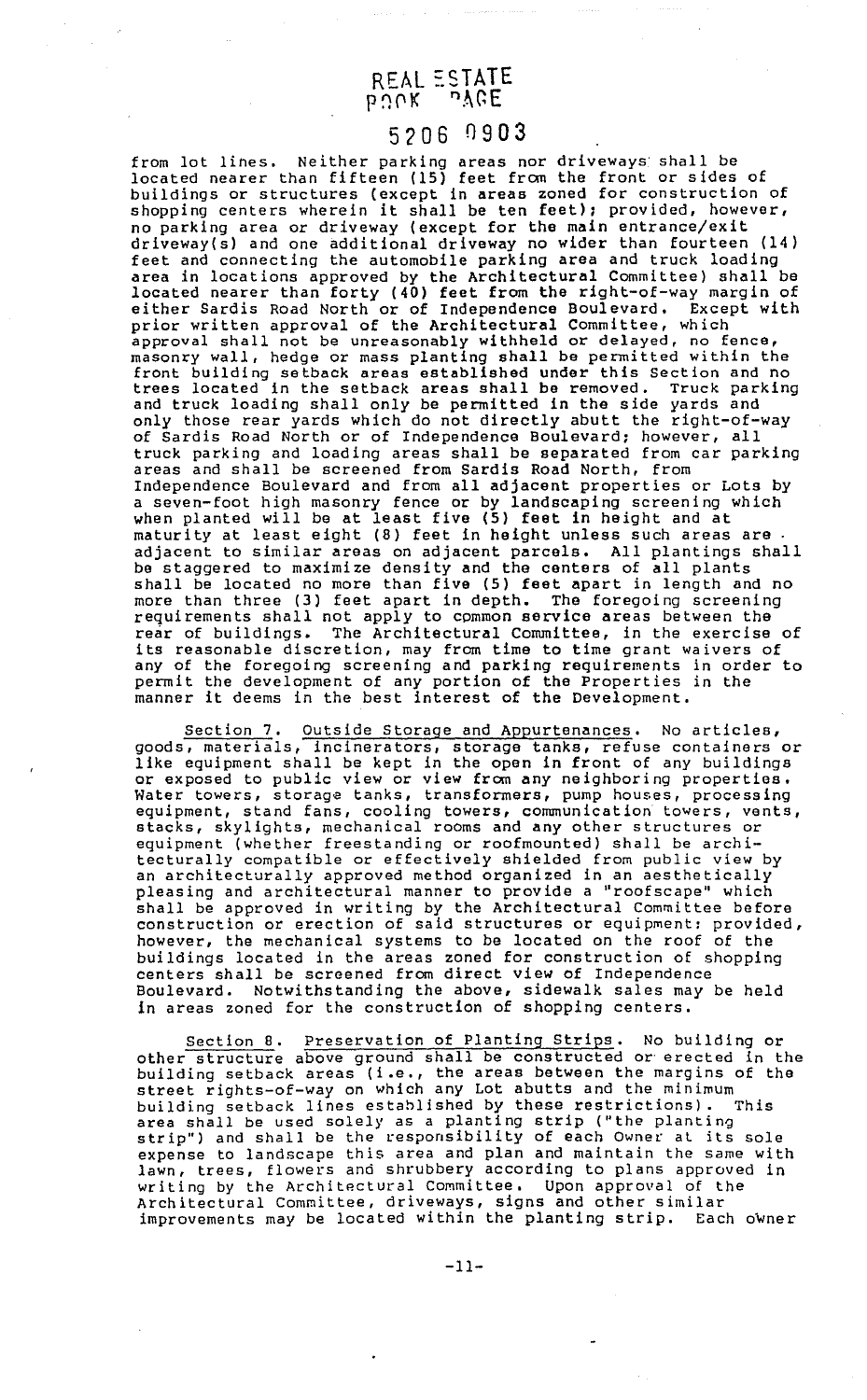#### REAL ESTATE  $b \ddot{\omega}$ ok  $b$ yee

### 5206 0903

from lot lines. Neither parking areas nor driveways shall be located nearer than fifteen (15) feet frcm the front or sides of buildings or structures (except in areas zoned for construction of shopping centers wherein it shall be ten feet): provided, however, no parking area or driveway (except for the main entrance/exit driveway(s) and one additional driveway no wider than fourteen (14) feet and connecting the automobile parking area and truck loading area in locations approved by the Architectural Committee) shall be located nearer than forty (40) feet from the right-of-way margin of either Sardis Road North or of Independence Boulevard. Except with prior written approval of the Architectural Committee, which approval shall not be unreasonably withheld or delayed, no fence, masonry wall, hedge or mass planting shall be permitted within the front building setback areas established under this Section and no trees located in the setback areas shall be removed. Truck parking and truck loading shall only be permitted in the side yards and only those rear yards which do not directly abutt the right-of-way of Sardis Road North or of Independence Boulevard; however, all truck parking and loading areas shall be separated from car parking areas and shall be screened from Sardis Road North, from Independence Boulevard and from all adjacent properties or Lots by a seven-foot high masonry fence or by landscaping screening which when planted will be at least five (5) feet in height and at maturity at least eight (8) feet in height unless such areas are . adjacent to similar areas on adjacent parcels. All plantings shall be staggered to maximize density and the centers of all plants shall be located no more than five (5) feet apart in length and no more than three (3) feet apart in depth. The foregoing screening requirements shall not apply to common service areas between the rear of buildings. The Architectural Committee, in the exercise of its reasonable discretion, may from time to time grant waivers of any of the foregoing screening and parking requirements in order to permit the development of any portion of the Properties in the manner it deems in the best interest of the Development.

Section 7. Outside Storage and Appurtenances. No articles, goods, materials, incinerators, storage tanks, refuse containers or like equipment shall be kept in the open in front of any buildings or exposed to public view or view from any neighboring properties. Water towers, storage tanks, transformers, pump houses, processing equipment, stand fans, cooling towers, communication towers, vents, stacks, skylights, mechanical rooms and any other structures or equipment (whether freestanding or roofmounted) shall be architecturally compatible or effectively shielded from public view by an architecturally approved method organized in an aesthetically pleasing and architectural manner to provide a "roofscape" which shall be approved in writing by the Architectural Committee before construction or erection of said structures or equipment: provided, however, the mechanical systems to be located on the roof of the buildings located in the areas zoned for construction of shopping centers shall be screened from direct view of Independence Boulevard. Notwithstanding the above, sidewalk sales may be held in areas zoned for the construction of shopping centers.

Section a. Preservation of Planting Strips. No building or other structure above ground shall be constructed or erected in the building setback areas (i.e., the areas between the margins of the street rights-of-way on which any Lot abutts and the minimum building setback lines estahlished by these restrictions). This area shall be used solely as a planting strip ("the planting strip") and shall be the responsibility of each Owner al its sole expense to landscape this area and plan and maintain the same with lawn, trees, flowers and shrubbery according to plans approved in writing by the Architectural Committee. Upon approval of the Architectural Committee, driveways, signs and other similar improvements may be located within the planting strip. Each owner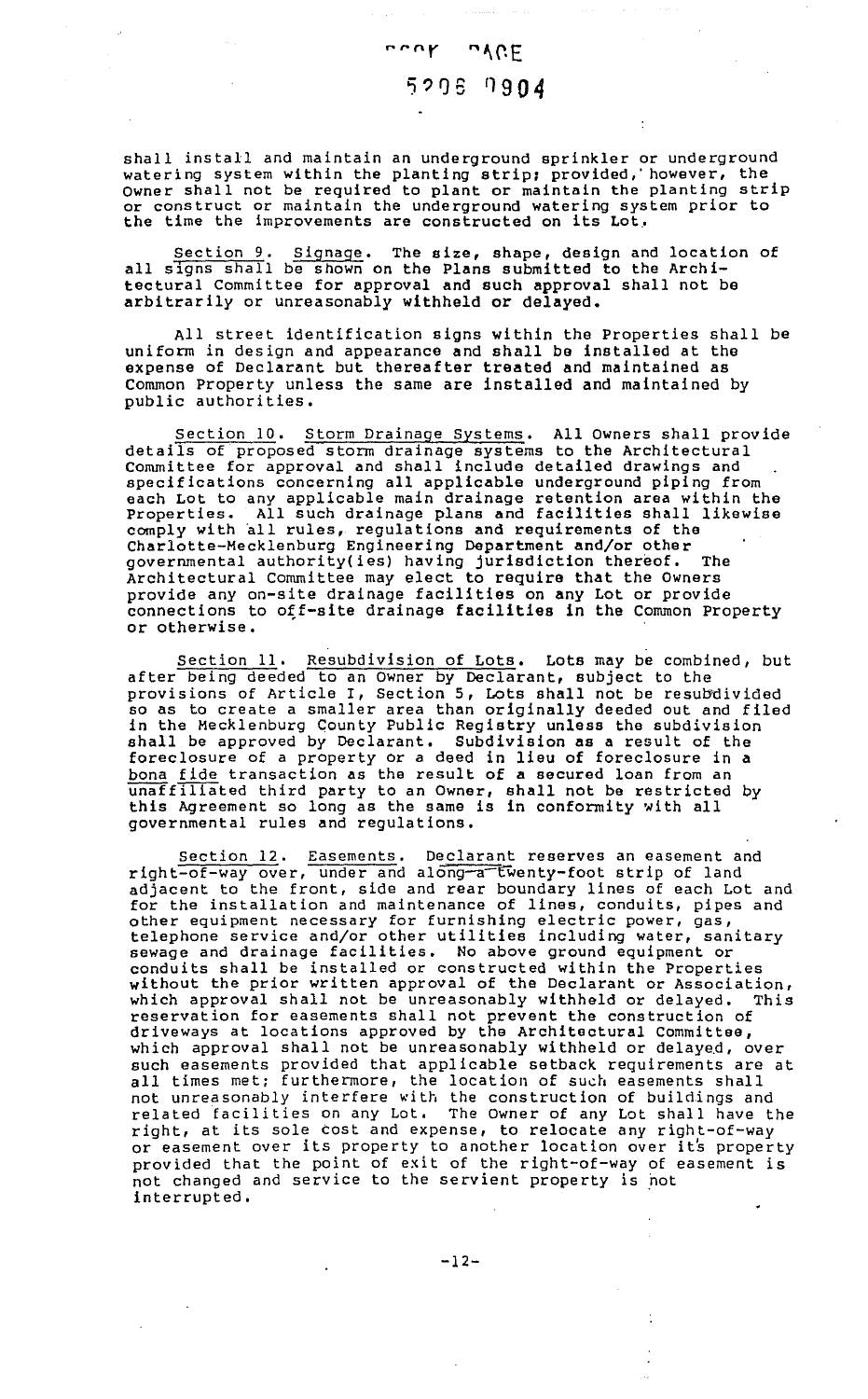### nont n/CE 5206 7904

shall install and maintain an underground sprinkler or underground watering system within the planting strip: provided,' however, the watefling system within the planting strip; provided; nowever, the<br>Owner shall not be required to plant or maintain the planting strip or construct or maintain the underground watering system prior to the time the improvements are constructed on its Lot,

Section 9. Signage. The size, shape, design and location of all signs shall be shown on the Plans submitted to the Architectural Committee for approval and such approval shall not be arbitrarily or unreasonably withheld or delayed.

All street identification signs within the Properties shall be uniform in design and appearance and shall be installed at the expense of Declarant but thereafter treated and maintained as Common Property unless the same are installed and maintained by public authorities.

Section 10. Storm Drainage Systems. All Owners shall provide details of proposed storm drainage systems to the Architectural Committee for approval and shall include detailed drawings and specifications concerning all applicable underground piping from each Lot to any applicable main drainage retention area within the Properties. All such drainage plans and facilities shall likewise comply with all rules, regulations and requirements of the Charlotte-Mecklenburg Engineering Department and/or other governmental authority(ies) having jurisdiction thereof. The Architectural Committee may elect to require that the Owners provide any on-site drainage facilities on any Lot or provide connections to off-site drainage facilities in the Common Property or otherwise.

Section 11. Resubdivision of Lots. Lots may be combined, but after being deeded to an owner by Declarant, subject to the provisions of Article I, Section 5, Lots shall not be resubdivided so as to create a smaller area than originally deeded out and filed in the Mecklenburg County Public Registry unless the subdivision shall be approved by Declarant. Subdivision as a result of the foreclosure of a property or a deed in lieu of foreclosure in a bona fide transaction as the result of a secured loan from an unaffiliated third party to an Owner, shall not be restricted by this Agreement so long as the same is in conformity with all governmental rules and regulations.

Section 12. Easements. Declarant reserves an easement and right-of-way over, under and along-a twenty-foot strip of land adjacent to the front, side and rear boundary lines of each Lot and for the installation and maintenance of lines, conduits, pipes and other equipment necessary for furnishing electric power, gas, telephone service and/or other utilities including water, sanitary sewage and drainage facilities. No above ground equipment or conduits shall be installed or constructed within the Properties without the prior written approval of the Declarant or Association, which approval shall not be unreasonably withheld or delayed. This reservation for easements shall not prevent the construction of driveways at locations approved by the Architectural Committee, which approval shall not be unreasonably withheld or delayed, over such easements provided that applicable setback requirements are at all times met; furthermore, the location of such easements shall not unreasonably interfere with the construction of buildings and related facilities on any Lot. The Owner of any Lot shall have the right, at its sole cost and expense, to relocate any right-of-way or easement over its property to another location over it's property provided that the point of exit of the right-of-way of easement is not changed and service to the servient property is hot interrupted.

-12-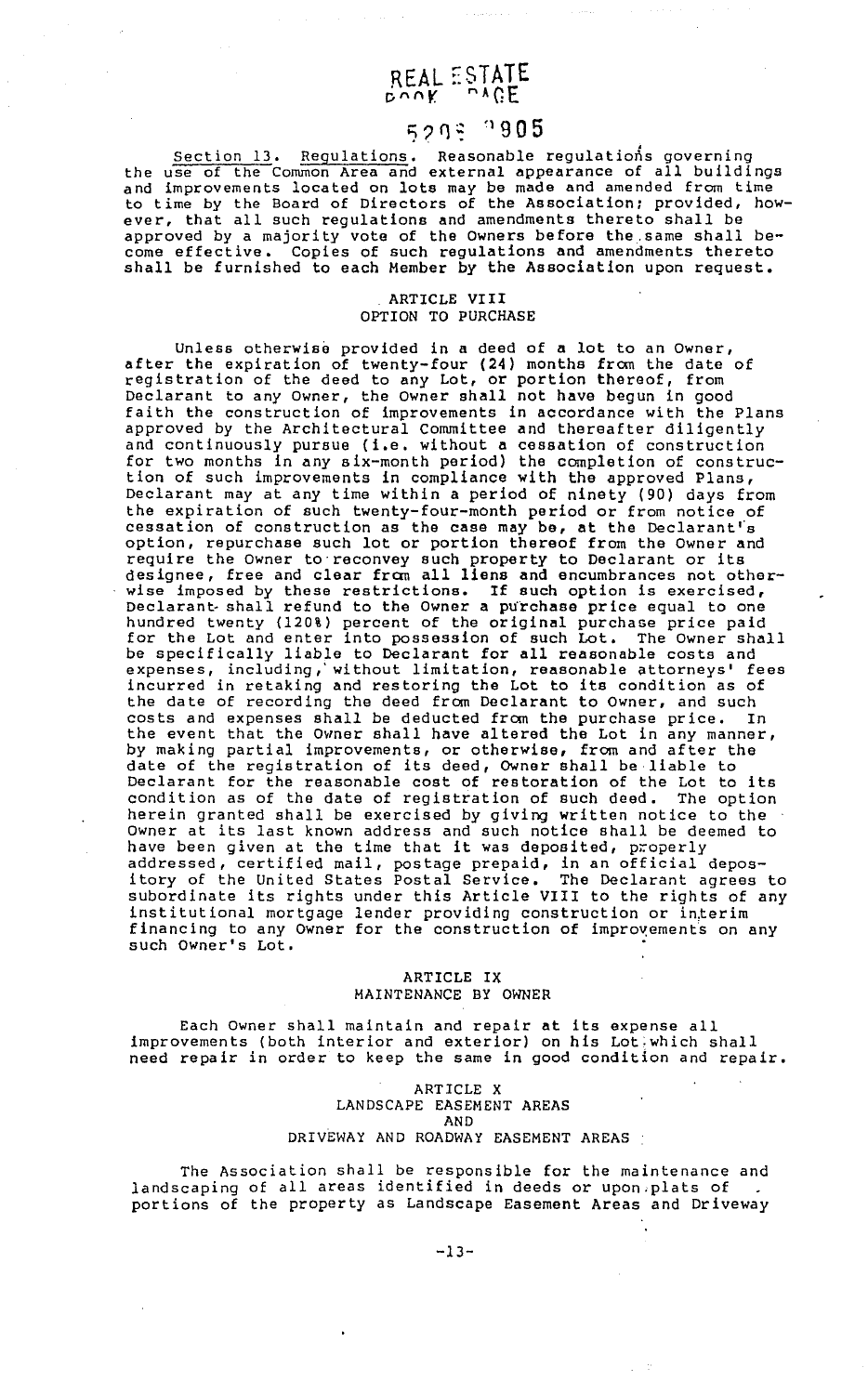# REAL ESTATE

 $5293 \div 1905$ <br>Section 13. Regulations. Reasonable regulations governing the use of the Common Area and external appearance of all buildings and improvements located on lots may be made and amended from time to time by the Board of Directors of the Association; provided, however, that all such regulations and amendments thereto shall be approved by a majority vote of the Owners before the.same shall become effective. Copies of such regulations and amendments thereto shall be furnished to each Member by the Association upon request.

#### ARTICLE VIII OPTION TO PURCHASE

Unless otherwise provided in a deed of a lot to an Owner, after the expiration of twenty-four (24) months from the date of registration of the deed to any Lot, or portion thereof, from Declarant to any Owner, the owner shall not have begun in good faith the construction of improvements in accordance with the Plans approved by the Architectural Committee and thereafter diligently and continuously pursue (i.e. without a cessation of construction for two months in any six-month period) the completion of construction of such improvements in compliance with the approved Plans, Declarant may at any time within a period of ninety (90) days from the expiration of such twenty-four-month period or from notice of cessation of construction as the case may be, at the Declarant's option, repurchase such lot or portion thereof from the Owner and require the Owner to reconvey such property to Declarant or its designee, free and clear from all liens and encumbrances not otherwise imposed by these restrictions. If such option is exercised, Declarant shall refund to the Owner a purchase price equal to one hundred twenty (120%) percent of the original purchase price paid for the Lot and enter into possession of such Lot. The Owner shall be specifically liable to Declarant for all reasonable costs and expenses, including,' without limitation, reasonable attorneys' fees incurred in retaking and restoring the Lot to its condition as of the date of recording the deed from Declarant to Owner, and such costs and expenses shall be deducted from the purchase price. In the event that the Owner shall have altered the Lot in any manner, by making partial improvements, or otherwise, from and after the date of the registration of its deed, Owner shall be liable to Declarant for the reasonable cost of restoration of the Lot to its condition as of the date of registration of such deed. The option herein granted shall be exercised by giving written notice to the Owner at its last known address and such notice shall be deemed to owher at its last known address and such hotics shall be dee<br>have been given at the time that it was deposited, properly addressed, certified mail, postage prepaid, in an official depository of the United States Postal Service, The Declarant agrees to subordinate its rights under this Article VIII to the rights of any institutional mortgage lender providing construction or interim financing to any Owner for the construction of improvements on any such Owner's Lot.

#### ARTICLE IX MAINTENANCE BY OWNER

Each Owner shall maintain and repair at its expense all improvements (both interior and exterior) on his Lot: which shall need repair in order to keep the same in good condition and repair.

#### ARTICLE X LANDSCAPE EASEMENT AREAS AND DRIVEWAY AND ROADWAY EASEMENT AREAS

The Association shall be responsible for the maintenance and landscaping of all areas identified in deeds or upon.plats of **College** portions of the property as Landscape Easement Areas and Driveway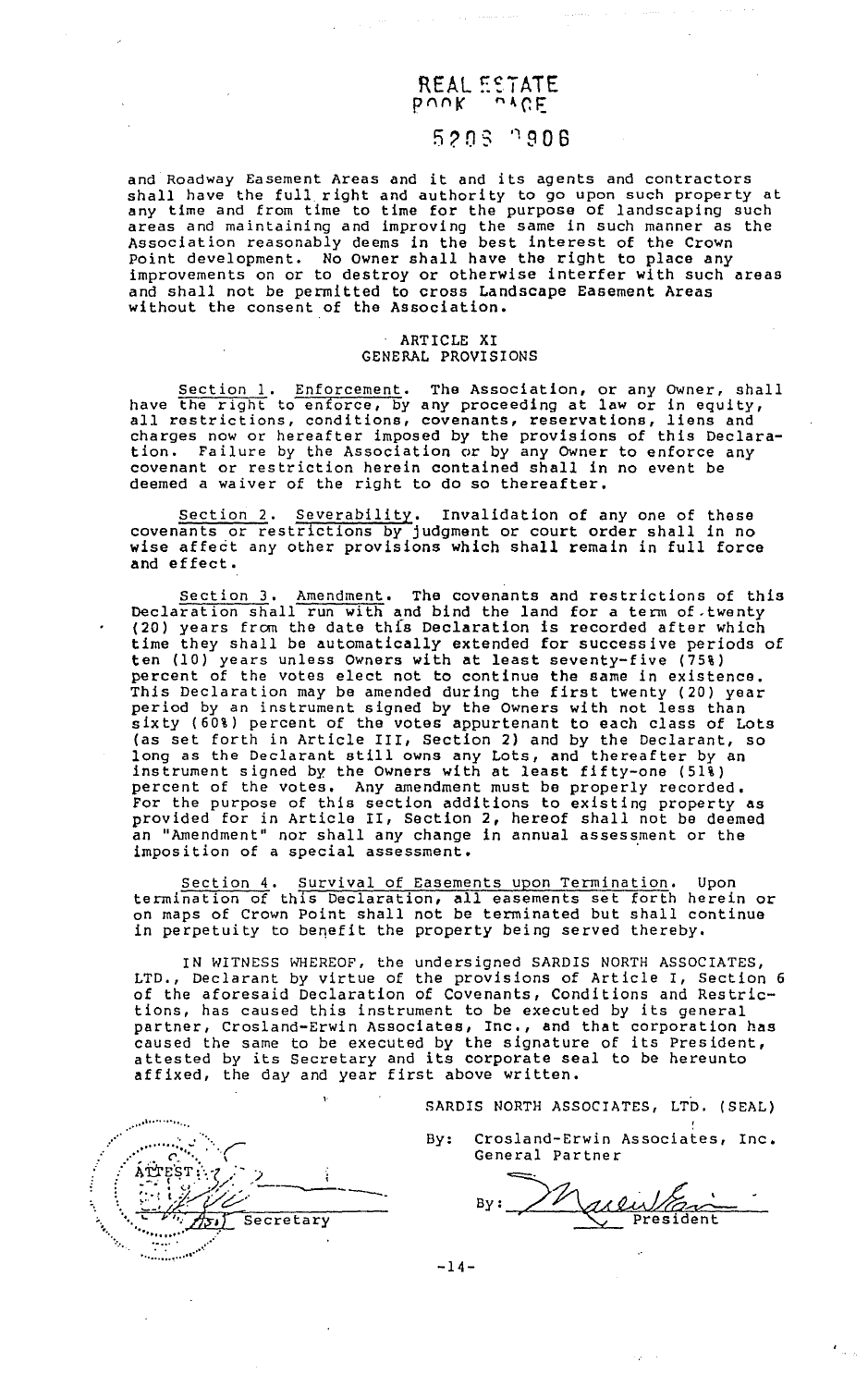#### REAL ESTATE  $b$   $v$   $v$  $k$   $...$   $v$   $y$  $k$

## 5? 0 s ' 1 9 0 6

and Roadway Easement Areas and it and its agents and contractors shall have the full right and authority to go upon such property at any time and from time to time for the purpose of landscaping such areas and maintaining and improving the same in such manner as the Association reasonably deems in the best interest of the Crown Point development. No owner shall have the right to place any improvements on or to destroy or otherwise interfer with such areas and shall not be permitted to cross Landscape Easement Areas without the consent of the Association.

#### ARTICLE XI GENERAL PROVISIONS

Section 1. Enforcement. The Association, or any Owner, shall have the right to enforce, by any proceeding at law or in equity, all restrictions, conditions, covenants, reservations, liens and charges now or hereafter imposed by the provisions of this Declaration. Failure by the Association or by any Owner to enforce any covenant or restriction herein contained shall in no event be deemed a waiver of the right to do so thereafter.

Section 2. Severability. Invalidation of any one of these covenants or restrictions by judgment or court order shall in no wise affect any other provisions which shall remain in full force and effect.

Section 3. Amendment. The covenants and restrictions of this Declaration shall run with and bind the land for a term of twenty (20) years frcm the date thfs Declaration is recorded after which time they shall be automatically extended for successive periods of ten (10) years unless owners with at least seventy-five (75%) percent of the votes elect not to continue the same in existence. This Declaration may be amended during the first twenty (20) year period by an instrument signed by the owners with not less than sixty (60%) percent of the votes appurtenant to each class of Lots (as set forth in Article III, Section 2) and by the Declarant, so long as the Declarant still owns any Lots, and thereafter by an instrument signed by the Owners with at least fifty-one (51%) percent of the votes. Any amendment must be properly recorded, For the purpose of this section additions to existing property as provided for in Article II, Section 2, hereof shall not be deemed an "Amendment" nor shall any change in annual assessment or the imposition of a special assessment.

Section 4. Survival of Easements upon Termination. Upon termination of this Declaration, all easements set forth herein or on maps of Crown Point shall not be terminated but shall continue in perpetuity to benefit the property being served thereby.

IN WITNESS WHEREOF, the undersigned SARDIS NORTH ASSOCIATES, LTD., Declarant by virtue of the provisions of Article I, Section 6 of the aforesaid Declaration of Covenants, Conditions and Restrictions, has caused this instrument to be executed by its general partner, Crosland-Erwin Associates, Inc., and that corporation has caused the same to be executed by the signature of its President, attested by its Secretary and its corporate seal to be hereunto attested by its secretary and its corporate sea

SARDIS NORTH ASSOCIATES, LTD. (SEAL)

' By: Crosland-Erwin Associates, Inc • General Partner

Marlutan

.. ····'············ .... .... ·· ... ··:·.·:·";.:.:.~· . .-:·· .. ( .' *:'* l>,TIE'ST:-..·, *:-* -, ·: .. --·c· ··l/• ,, ' : **1999 / 1999 / 1999 / 1999 / 1999 / 1999 / 1999 / 1999 / 1999 / 1999 / 1999 / 1999 / 1999 / 1999 / 1999 / 19**  $\frac{1}{2}$ 

-14-